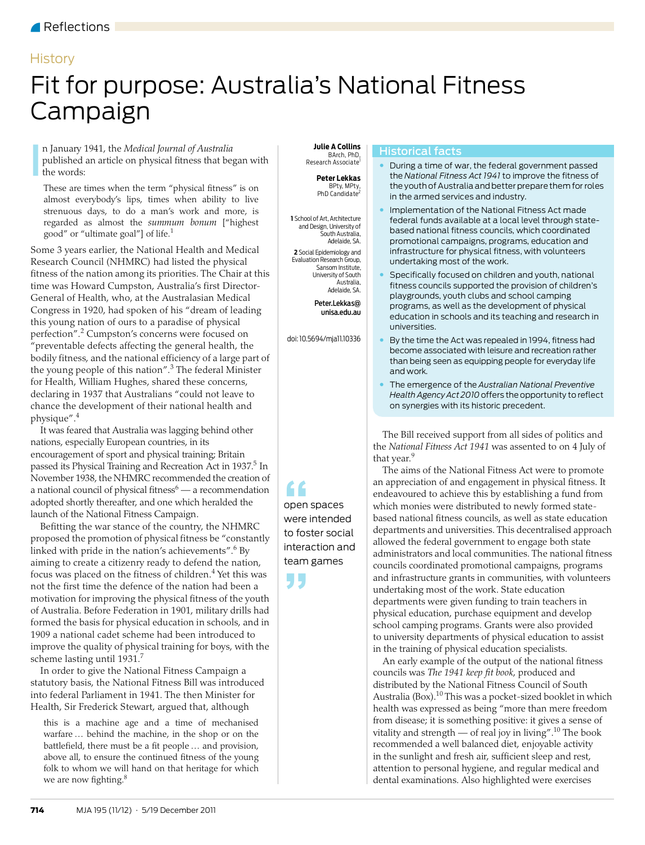## Reflections

# **History**

# <span id="page-0-0"></span>Fit for purpose: Australia's National Fitness Campaign

n January 1941, the *Medical Journal of Australia*  published an article on physical fitness that began with the words: In January 1941, the *Medical Journal of Australia* **In the A Collins**<br>published an article on physical fitness that began with **Example 1989**<br>the words: **Peter Lekkas** 

These are times when the term "physical fitness" is on almost everybody's lips, times when ability to live strenuous days, to do a man's work and more, is regarded as almost the *summum bonum* ["highest good" or "ultimate goal"] of life.[1](#page-2-1)

Some 3 years earlier, the National Health and Medical Research Council (NHMRC) had listed the physical fitness of the nation among its priorities. The Chair at this time was Howard Cumpston, Australia's first Director-General of Health, who, at the Australasian Medical Congress in 1920, had spoken of his "dream of leading this young nation of ours to a paradise of physical perfection".<sup>[2](#page-2-2)</sup> Cumpston's concerns were focused on "preventable defects affecting the general health, the bodily fitness, and the national efficiency of a large part of the young people of this nation".<sup>[3](#page-2-3)</sup> The federal Minister for Health, William Hughes, shared these concerns, declaring in 1937 that Australians "could not leave to chance the development of their national health and physique"[.4](#page-2-4)

It was feared that Australia was lagging behind other nations, especially European countries, in its encouragement of sport and physical training; Britain passed its Physical Training and Recreation Act in 1937.<sup>5</sup> In November 1938, the NHMRC recommended the creation of a national council of physical fitness $^6 ^6 ^6-$  a recommendation adopted shortly thereafter, and one which heralded the launch of the National Fitness Campaign.

improve the quality of physical training for boys, with the  $\rm{scheme}$  lasting until 1931.<sup>7</sup> Befitting the war stance of the country, the NHMRC proposed the promotion of physical fitness be "constantly linked with pride in the nation's achievements".<sup>[6](#page-2-6)</sup> By aiming to create a citizenry ready to defend the nation, focus was placed on the fitness of children.<sup>[4](#page-2-4)</sup> Yet this was not the first time the defence of the nation had been a motivation for improving the physical fitness of the youth of Australia. Before Federation in 1901, military drills had formed the basis for physical education in schools, and in 1909 a national cadet scheme had been introduced to

In order to give the National Fitness Campaign a statutory basis, the National Fitness Bill was introduced Reflections – History into federal Parliament in 1941. The then Minister for Health, Sir Frederick Stewart, argued that, although

this is a machine age and a time of mechanised warfare … behind the machine, in the shop or on the battlefield, there must be a fit people … and provision, above all, to ensure the continued fitness of the young folk to whom we will hand on that heritage for which we are now fighting.<sup>[8](#page-2-8)</sup>

 BArch, PhD, Research Associate<sup>1</sup>

> **Peter Lekkas** BPty, MPty, PhD Candidate<sup>2</sup>

**1** School of Art, Architecture and Design, University of South Australia, Adelaide, SA.

**2** Social Epidemiology and Evaluation Research Group, Sansom Institute, University of South Australia, Adelaide, SA.

> Peter.Lekkas@ unisa.edu.au

doi: 10.5694/mja11.10336

#### Historical facts

- During a time of war, the federal government passed the *National Fitness Act 1941* to improve the fitness of the youth of Australia and better prepare them for roles in the armed services and industry.
- Implementation of the National Fitness Act made federal funds available at a local level through statebased national fitness councils, which coordinated promotional campaigns, programs, education and infrastructure for physical fitness, with volunteers undertaking most of the work.
- Specifically focused on children and youth, national fitness councils supported the provision of children's playgrounds, youth clubs and school camping programs, as well as the development of physical education in schools and its teaching and research in universities.
- By the time the Act was repealed in 1994, fitness had become associated with leisure and recreation rather than being seen as equipping people for everyday life and work.
- The emergence of the *Australian National Preventive Health Agency Act 2010* offers the opportunity to reflect on synergies with its historic precedent.

The Bill received support from all sides of politics and the *National Fitness Act 1941* was assented to on 4 July of that year.<sup>[9](#page-2-9)</sup>

The aims of the National Fitness Act were to promote an appreciation of and engagement in physical fitness. It endeavoured to achieve this by establishing a fund from which monies were distributed to newly formed statebased national fitness councils, as well as state education departments and universities. This decentralised approach allowed the federal government to engage both state administrators and local communities. The national fitness councils coordinated promotional campaigns, programs and infrastructure grants in communities, with volunteers undertaking most of the work. State education departments were given funding to train teachers in physical education, purchase equipment and develop school camping programs. Grants were also provided to university departments of physical education to assist in the training of physical education specialists.

An early example of the output of the national fitness councils was *The 1941 keep fit book*, produced and distributed by the National Fitness Council of South Australia (Box).<sup>10</sup> This was a pocket-sized booklet in which health was expressed as being "more than mere freedom from disease; it is something positive: it gives a sense of vitality and strength — of real joy in living".<sup>10</sup> The book recommended a well balanced diet, enjoyable activity in the sunlight and fresh air, sufficient sleep and rest, attention to personal hygiene, and regular medical and dental examinations. Also highlighted were exercises

**COMPRETE COMPRETENT**<br>
were intended open spaces to foster social interaction and team games

**"**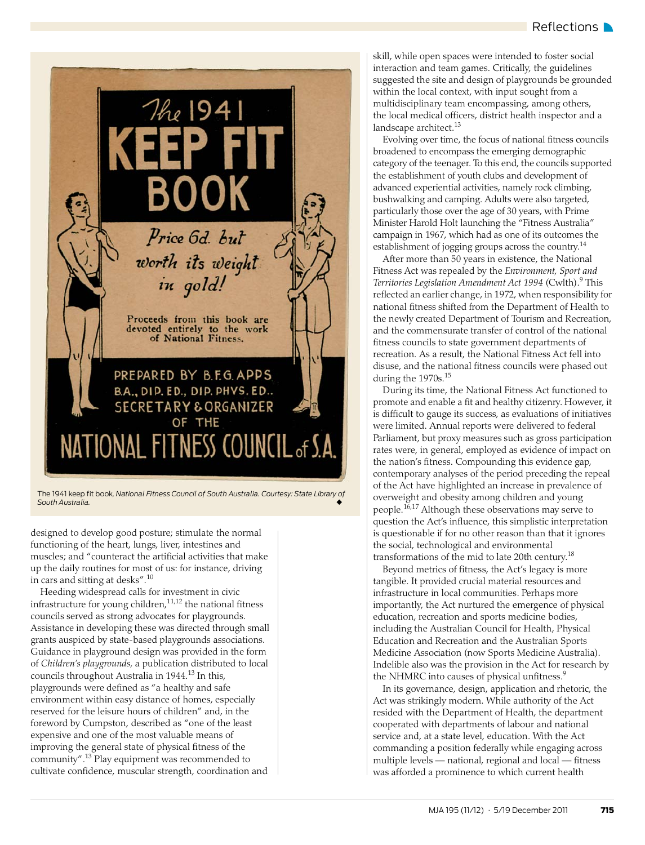

The 1941 keep fit book*, National Fitness Council of South Australia. Courtesy: State Library of South Australia.* ◆

designed to develop good posture; stimulate the normal functioning of the heart, lungs, liver, intestines and muscles; and "counteract the artificial activities that make up the daily routines for most of us: for instance, driving in cars and sitting at desks".[10](#page-2-10)

Heeding widespread calls for investment in civic infrastructure for young children,<sup>11,[12](#page-2-12)</sup> the national fitness councils served as strong advocates for playgrounds. Assistance in developing these was directed through small grants auspiced by state-based playgrounds associations. Guidance in playground design was provided in the form of *Children's playgrounds,* a publication distributed to local councils throughout Australia in 1944.<sup>13</sup> In this, playgrounds were defined as "a healthy and safe environment within easy distance of homes, especially reserved for the leisure hours of children" and, in the foreword by Cumpston, described as "one of the least expensive and one of the most valuable means of improving the general state of physical fitness of the community"[.13](#page-2-13) Play equipment was recommended to cultivate confidence, muscular strength, coordination and

skill, while open spaces were intended to foster social interaction and team games. Critically, the guidelines suggested the site and design of playgrounds be grounded within the local context, with input sought from a multidisciplinary team encompassing, among others, the local medical officers, district health inspector and a landscape architect.<sup>13</sup>

Evolving over time, the focus of national fitness councils broadened to encompass the emerging demographic category of the teenager. To this end, the councils supported the establishment of youth clubs and development of advanced experiential activities, namely rock climbing, bushwalking and camping. Adults were also targeted, particularly those over the age of 30 years, with Prime Minister Harold Holt launching the "Fitness Australia" campaign in 1967, which had as one of its outcomes the establishment of jogging groups across the country.<sup>14</sup>

After more than 50 years in existence, the National Fitness Act was repealed by the *Environment, Sport and*  Territories Legislation Amendment Act 1994 (Cwlth).<sup>9</sup> This reflected an earlier change, in 1972, when responsibility for national fitness shifted from the Department of Health to the newly created Department of Tourism and Recreation, and the commensurate transfer of control of the national fitness councils to state government departments of recreation. As a result, the National Fitness Act fell into disuse, and the national fitness councils were phased out during the 1970s.<sup>[15](#page-2-15)</sup>

During its time, the National Fitness Act functioned to promote and enable a fit and healthy citizenry. However, it is difficult to gauge its success, as evaluations of initiatives were limited. Annual reports were delivered to federal Parliament, but proxy measures such as gross participation rates were, in general, employed as evidence of impact on the nation's fitness. Compounding this evidence gap, contemporary analyses of the period preceding the repeal of the Act have highlighted an increase in prevalence of overweight and obesity among children and young people.[16,](#page-2-16)[17](#page-2-17) Although these observations may serve to question the Act's influence, this simplistic interpretation is questionable if for no other reason than that it ignores the social, technological and environmental transformations of the mid to late 20th century.[18](#page-2-18)

Beyond metrics of fitness, the Act's legacy is more tangible. It provided crucial material resources and infrastructure in local communities. Perhaps more importantly, the Act nurtured the emergence of physical education, recreation and sports medicine bodies, including the Australian Council for Health, Physical Education and Recreation and the Australian Sports Medicine Association (now Sports Medicine Australia). Indelible also was the provision in the Act for research by the NHMRC into causes of physical unfitness.<sup>[9](#page-2-9)</sup>

In its governance, design, application and rhetoric, the Act was strikingly modern. While authority of the Act resided with the Department of Health, the department cooperated with departments of labour and national service and, at a state level, education. With the Act commanding a position federally while engaging across multiple levels — national, regional and local — fitness was afforded a prominence to which current health